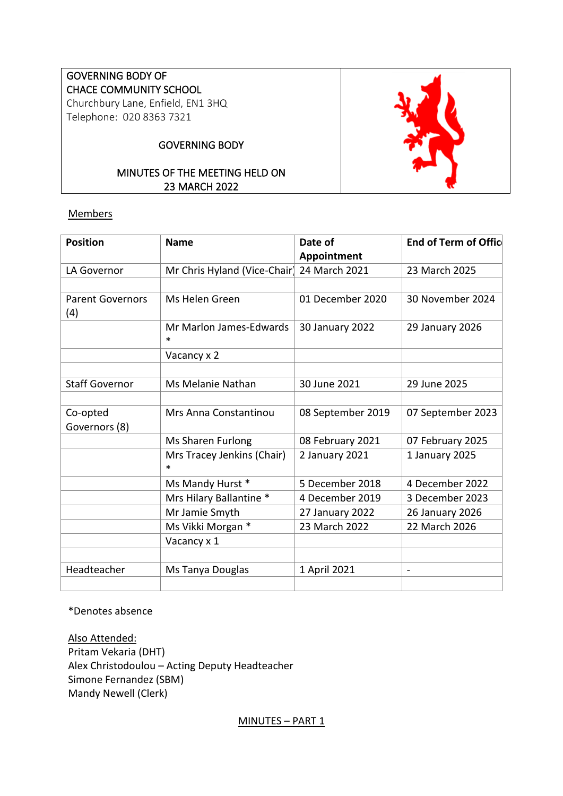# GOVERNING BODY OF CHACE COMMUNITY SCHOOL Churchbury Lane, Enfield, EN1 3HQ

Telephone: 020 8363 7321

# GOVERNING BODY

# MINUTES OF THE MEETING HELD ON 23 MARCH 2022

### **Members**

| <b>Position</b>                | <b>Name</b>                     | Date of           | <b>End of Term of Offic</b> |
|--------------------------------|---------------------------------|-------------------|-----------------------------|
|                                |                                 | Appointment       |                             |
| LA Governor                    | Mr Chris Hyland (Vice-Chair)    | 24 March 2021     | 23 March 2025               |
|                                |                                 |                   |                             |
| <b>Parent Governors</b><br>(4) | Ms Helen Green                  | 01 December 2020  | 30 November 2024            |
|                                | Mr Marlon James-Edwards<br>∗    | 30 January 2022   | 29 January 2026             |
|                                | Vacancy x 2                     |                   |                             |
|                                |                                 |                   |                             |
| <b>Staff Governor</b>          | Ms Melanie Nathan               | 30 June 2021      | 29 June 2025                |
|                                |                                 |                   |                             |
| Co-opted                       | Mrs Anna Constantinou           | 08 September 2019 | 07 September 2023           |
| Governors (8)                  |                                 |                   |                             |
|                                | Ms Sharen Furlong               | 08 February 2021  | 07 February 2025            |
|                                | Mrs Tracey Jenkins (Chair)<br>* | 2 January 2021    | 1 January 2025              |
|                                | Ms Mandy Hurst *                | 5 December 2018   | 4 December 2022             |
|                                | Mrs Hilary Ballantine *         | 4 December 2019   | 3 December 2023             |
|                                | Mr Jamie Smyth                  | 27 January 2022   | 26 January 2026             |
|                                | Ms Vikki Morgan *               | 23 March 2022     | 22 March 2026               |
|                                | Vacancy x 1                     |                   |                             |
|                                |                                 |                   |                             |
| Headteacher                    | Ms Tanya Douglas                | 1 April 2021      | $\overline{\phantom{a}}$    |
|                                |                                 |                   |                             |

\*Denotes absence

Also Attended: Pritam Vekaria (DHT) Alex Christodoulou – Acting Deputy Headteacher Simone Fernandez (SBM) Mandy Newell (Clerk)

MINUTES – PART 1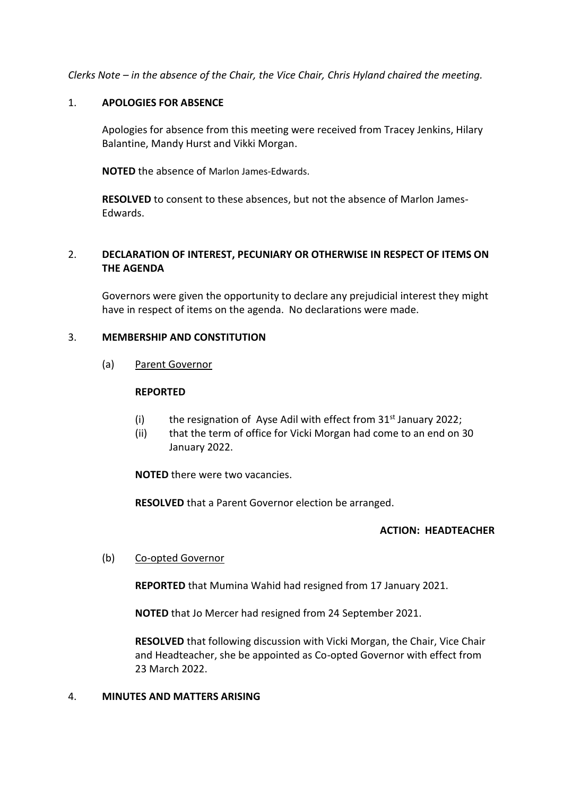*Clerks Note – in the absence of the Chair, the Vice Chair, Chris Hyland chaired the meeting.*

#### 1. **APOLOGIES FOR ABSENCE**

Apologies for absence from this meeting were received from Tracey Jenkins, Hilary Balantine, Mandy Hurst and Vikki Morgan.

**NOTED** the absence of Marlon James-Edwards.

**RESOLVED** to consent to these absences, but not the absence of Marlon James-Edwards.

# 2. **DECLARATION OF INTEREST, PECUNIARY OR OTHERWISE IN RESPECT OF ITEMS ON THE AGENDA**

Governors were given the opportunity to declare any prejudicial interest they might have in respect of items on the agenda. No declarations were made.

### 3. **MEMBERSHIP AND CONSTITUTION**

(a) Parent Governor

#### **REPORTED**

- (i) the resignation of Ayse Adil with effect from  $31<sup>st</sup>$  January 2022;
- (ii) that the term of office for Vicki Morgan had come to an end on 30 January 2022.

**NOTED** there were two vacancies.

**RESOLVED** that a Parent Governor election be arranged.

# **ACTION: HEADTEACHER**

# (b) Co-opted Governor

**REPORTED** that Mumina Wahid had resigned from 17 January 2021.

**NOTED** that Jo Mercer had resigned from 24 September 2021.

**RESOLVED** that following discussion with Vicki Morgan, the Chair, Vice Chair and Headteacher, she be appointed as Co-opted Governor with effect from 23 March 2022.

#### 4. **MINUTES AND MATTERS ARISING**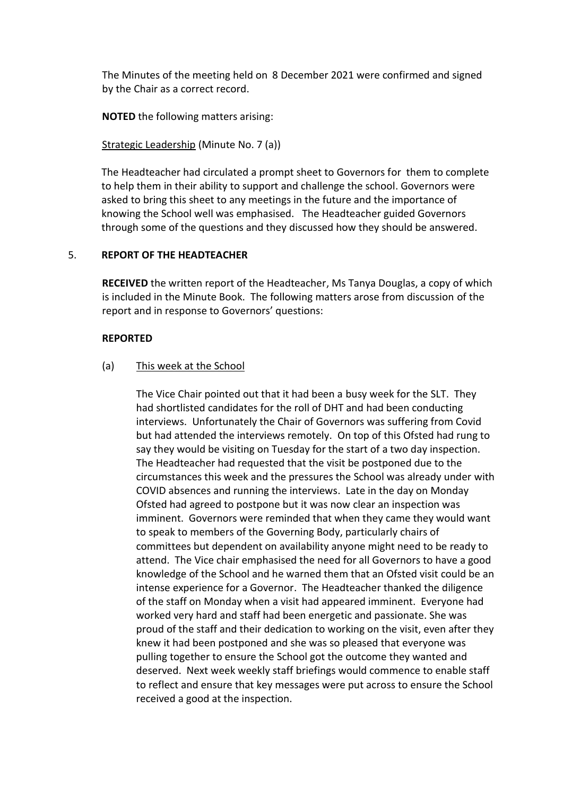The Minutes of the meeting held on 8 December 2021 were confirmed and signed by the Chair as a correct record.

**NOTED** the following matters arising:

Strategic Leadership (Minute No. 7 (a))

The Headteacher had circulated a prompt sheet to Governors for them to complete to help them in their ability to support and challenge the school. Governors were asked to bring this sheet to any meetings in the future and the importance of knowing the School well was emphasised. The Headteacher guided Governors through some of the questions and they discussed how they should be answered.

### 5. **REPORT OF THE HEADTEACHER**

**RECEIVED** the written report of the Headteacher, Ms Tanya Douglas, a copy of which is included in the Minute Book. The following matters arose from discussion of the report and in response to Governors' questions:

#### **REPORTED**

#### (a) This week at the School

The Vice Chair pointed out that it had been a busy week for the SLT. They had shortlisted candidates for the roll of DHT and had been conducting interviews. Unfortunately the Chair of Governors was suffering from Covid but had attended the interviews remotely. On top of this Ofsted had rung to say they would be visiting on Tuesday for the start of a two day inspection. The Headteacher had requested that the visit be postponed due to the circumstances this week and the pressures the School was already under with COVID absences and running the interviews. Late in the day on Monday Ofsted had agreed to postpone but it was now clear an inspection was imminent. Governors were reminded that when they came they would want to speak to members of the Governing Body, particularly chairs of committees but dependent on availability anyone might need to be ready to attend. The Vice chair emphasised the need for all Governors to have a good knowledge of the School and he warned them that an Ofsted visit could be an intense experience for a Governor. The Headteacher thanked the diligence of the staff on Monday when a visit had appeared imminent. Everyone had worked very hard and staff had been energetic and passionate. She was proud of the staff and their dedication to working on the visit, even after they knew it had been postponed and she was so pleased that everyone was pulling together to ensure the School got the outcome they wanted and deserved. Next week weekly staff briefings would commence to enable staff to reflect and ensure that key messages were put across to ensure the School received a good at the inspection.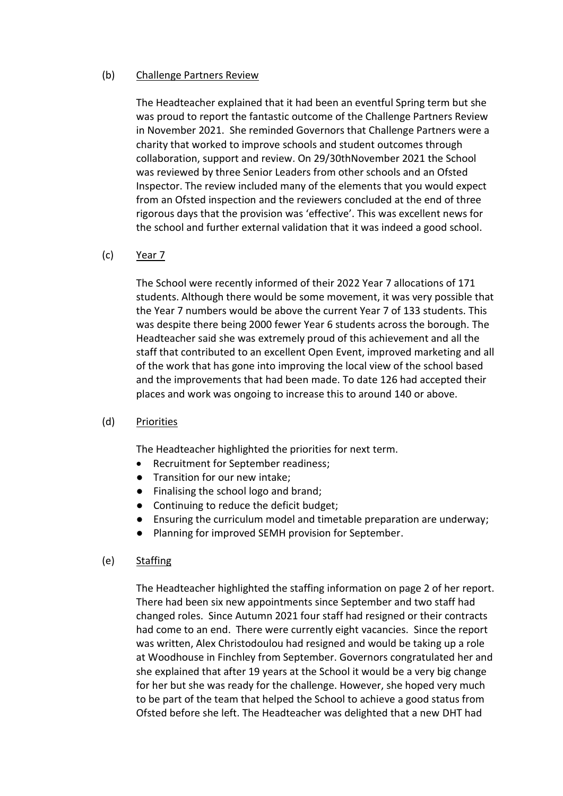### (b) Challenge Partners Review

The Headteacher explained that it had been an eventful Spring term but she was proud to report the fantastic outcome of the Challenge Partners Review in November 2021. She reminded Governors that Challenge Partners were a charity that worked to improve schools and student outcomes through collaboration, support and review. On 29/30thNovember 2021 the School was reviewed by three Senior Leaders from other schools and an Ofsted Inspector. The review included many of the elements that you would expect from an Ofsted inspection and the reviewers concluded at the end of three rigorous days that the provision was 'effective'. This was excellent news for the school and further external validation that it was indeed a good school.

### (c) Year 7

The School were recently informed of their 2022 Year 7 allocations of 171 students. Although there would be some movement, it was very possible that the Year 7 numbers would be above the current Year 7 of 133 students. This was despite there being 2000 fewer Year 6 students across the borough. The Headteacher said she was extremely proud of this achievement and all the staff that contributed to an excellent Open Event, improved marketing and all of the work that has gone into improving the local view of the school based and the improvements that had been made. To date 126 had accepted their places and work was ongoing to increase this to around 140 or above.

#### (d) Priorities

The Headteacher highlighted the priorities for next term.

- Recruitment for September readiness;
- Transition for our new intake;
- Finalising the school logo and brand;
- Continuing to reduce the deficit budget;
- Ensuring the curriculum model and timetable preparation are underway;
- Planning for improved SEMH provision for September.

#### (e) Staffing

The Headteacher highlighted the staffing information on page 2 of her report. There had been six new appointments since September and two staff had changed roles. Since Autumn 2021 four staff had resigned or their contracts had come to an end. There were currently eight vacancies. Since the report was written, Alex Christodoulou had resigned and would be taking up a role at Woodhouse in Finchley from September. Governors congratulated her and she explained that after 19 years at the School it would be a very big change for her but she was ready for the challenge. However, she hoped very much to be part of the team that helped the School to achieve a good status from Ofsted before she left. The Headteacher was delighted that a new DHT had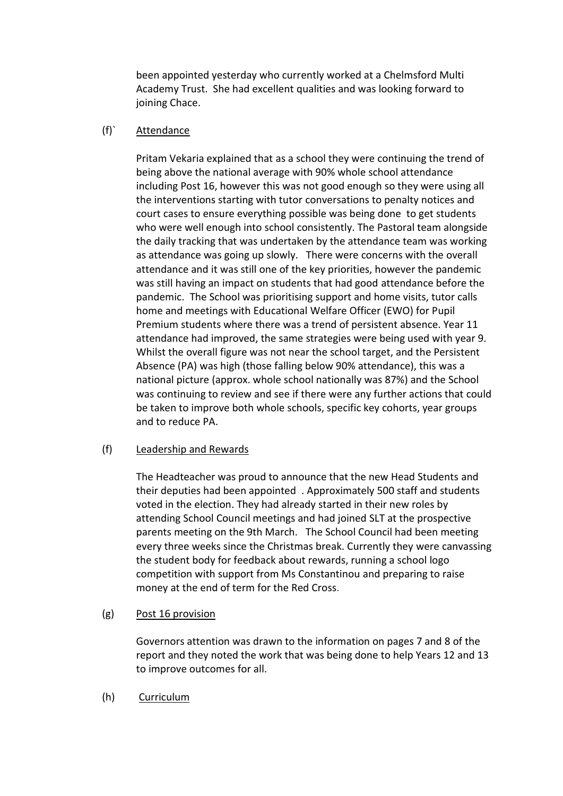been appointed yesterday who currently worked at a Chelmsford Multi Academy Trust. She had excellent qualities and was looking forward to joining Chace.

# (f)` Attendance

Pritam Vekaria explained that as a school they were continuing the trend of being above the national average with 90% whole school attendance including Post 16, however this was not good enough so they were using all the interventions starting with tutor conversations to penalty notices and court cases to ensure everything possible was being done to get students who were well enough into school consistently. The Pastoral team alongside the daily tracking that was undertaken by the attendance team was working as attendance was going up slowly. There were concerns with the overall attendance and it was still one of the key priorities, however the pandemic was still having an impact on students that had good attendance before the pandemic. The School was prioritising support and home visits, tutor calls home and meetings with Educational Welfare Officer (EWO) for Pupil Premium students where there was a trend of persistent absence. Year 11 attendance had improved, the same strategies were being used with year 9. Whilst the overall figure was not near the school target, and the Persistent Absence (PA) was high (those falling below 90% attendance), this was a national picture (approx. whole school nationally was 87%) and the School was continuing to review and see if there were any further actions that could be taken to improve both whole schools, specific key cohorts, year groups and to reduce PA.

#### (f) Leadership and Rewards

The Headteacher was proud to announce that the new Head Students and their deputies had been appointed . Approximately 500 staff and students voted in the election. They had already started in their new roles by attending School Council meetings and had joined SLT at the prospective parents meeting on the 9th March. The School Council had been meeting every three weeks since the Christmas break. Currently they were canvassing the student body for feedback about rewards, running a school logo competition with support from Ms Constantinou and preparing to raise money at the end of term for the Red Cross.

# (g) Post 16 provision

Governors attention was drawn to the information on pages 7 and 8 of the report and they noted the work that was being done to help Years 12 and 13 to improve outcomes for all.

(h) Curriculum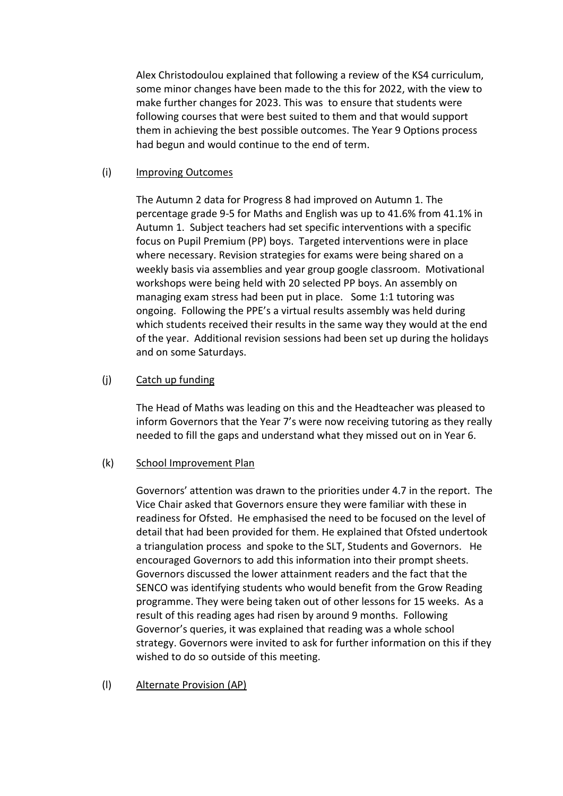Alex Christodoulou explained that following a review of the KS4 curriculum, some minor changes have been made to the this for 2022, with the view to make further changes for 2023. This was to ensure that students were following courses that were best suited to them and that would support them in achieving the best possible outcomes. The Year 9 Options process had begun and would continue to the end of term.

#### (i) Improving Outcomes

The Autumn 2 data for Progress 8 had improved on Autumn 1. The percentage grade 9-5 for Maths and English was up to 41.6% from 41.1% in Autumn 1. Subject teachers had set specific interventions with a specific focus on Pupil Premium (PP) boys. Targeted interventions were in place where necessary. Revision strategies for exams were being shared on a weekly basis via assemblies and year group google classroom. Motivational workshops were being held with 20 selected PP boys. An assembly on managing exam stress had been put in place. Some 1:1 tutoring was ongoing. Following the PPE's a virtual results assembly was held during which students received their results in the same way they would at the end of the year. Additional revision sessions had been set up during the holidays and on some Saturdays.

### (j) Catch up funding

The Head of Maths was leading on this and the Headteacher was pleased to inform Governors that the Year 7's were now receiving tutoring as they really needed to fill the gaps and understand what they missed out on in Year 6.

#### (k) School Improvement Plan

Governors' attention was drawn to the priorities under 4.7 in the report. The Vice Chair asked that Governors ensure they were familiar with these in readiness for Ofsted. He emphasised the need to be focused on the level of detail that had been provided for them. He explained that Ofsted undertook a triangulation process and spoke to the SLT, Students and Governors. He encouraged Governors to add this information into their prompt sheets. Governors discussed the lower attainment readers and the fact that the SENCO was identifying students who would benefit from the Grow Reading programme. They were being taken out of other lessons for 15 weeks. As a result of this reading ages had risen by around 9 months. Following Governor's queries, it was explained that reading was a whole school strategy. Governors were invited to ask for further information on this if they wished to do so outside of this meeting.

#### (l) Alternate Provision (AP)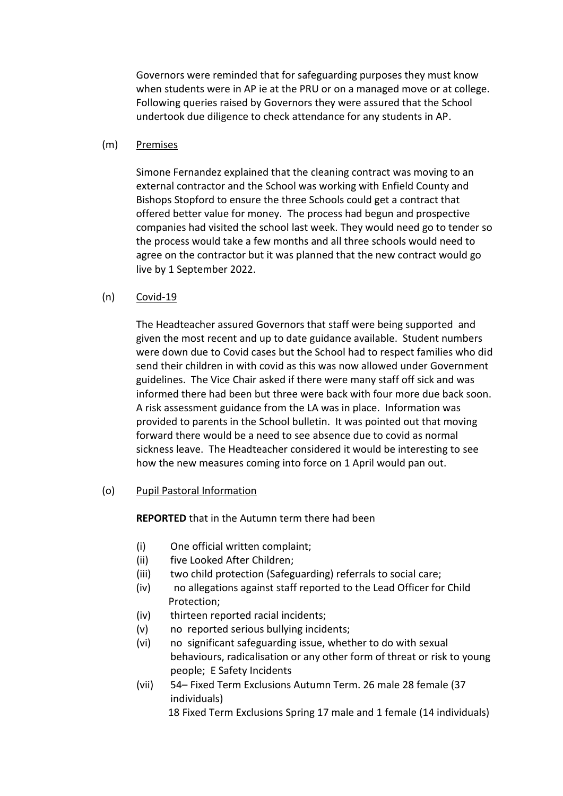Governors were reminded that for safeguarding purposes they must know when students were in AP ie at the PRU or on a managed move or at college. Following queries raised by Governors they were assured that the School undertook due diligence to check attendance for any students in AP.

#### (m) Premises

Simone Fernandez explained that the cleaning contract was moving to an external contractor and the School was working with Enfield County and Bishops Stopford to ensure the three Schools could get a contract that offered better value for money. The process had begun and prospective companies had visited the school last week. They would need go to tender so the process would take a few months and all three schools would need to agree on the contractor but it was planned that the new contract would go live by 1 September 2022.

### (n) Covid-19

The Headteacher assured Governors that staff were being supported and given the most recent and up to date guidance available. Student numbers were down due to Covid cases but the School had to respect families who did send their children in with covid as this was now allowed under Government guidelines. The Vice Chair asked if there were many staff off sick and was informed there had been but three were back with four more due back soon. A risk assessment guidance from the LA was in place. Information was provided to parents in the School bulletin. It was pointed out that moving forward there would be a need to see absence due to covid as normal sickness leave. The Headteacher considered it would be interesting to see how the new measures coming into force on 1 April would pan out.

#### (o) Pupil Pastoral Information

**REPORTED** that in the Autumn term there had been

- (i) One official written complaint;
- (ii) five Looked After Children;
- (iii) two child protection (Safeguarding) referrals to social care;
- (iv) no allegations against staff reported to the Lead Officer for Child Protection;
- (iv) thirteen reported racial incidents;
- (v) noreported serious bullying incidents;
- (vi) no significant safeguarding issue, whether to do with sexual behaviours, radicalisation or any other form of threat or risk to young people; E Safety Incidents
- (vii) 54– Fixed Term Exclusions Autumn Term. 26 male 28 female (37 individuals)

18 Fixed Term Exclusions Spring 17 male and 1 female (14 individuals)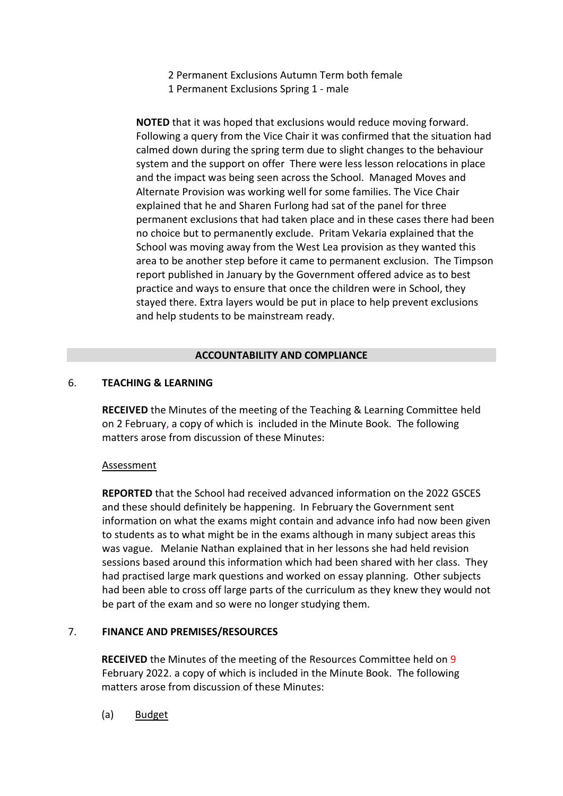- 2 Permanent Exclusions Autumn Term both female
- 1 Permanent Exclusions Spring 1 male

**NOTED** that it was hoped that exclusions would reduce moving forward. Following a query from the Vice Chair it was confirmed that the situation had calmed down during the spring term due to slight changes to the behaviour system and the support on offer There were less lesson relocations in place and the impact was being seen across the School. Managed Moves and Alternate Provision was working well for some families. The Vice Chair explained that he and Sharen Furlong had sat of the panel for three permanent exclusions that had taken place and in these cases there had been no choice but to permanently exclude. Pritam Vekaria explained that the School was moving away from the West Lea provision as they wanted this area to be another step before it came to permanent exclusion. The Timpson report published in January by the Government offered advice as to best practice and ways to ensure that once the children were in School, they stayed there. Extra layers would be put in place to help prevent exclusions and help students to be mainstream ready.

#### **ACCOUNTABILITY AND COMPLIANCE**

#### 6. **TEACHING & LEARNING**

**RECEIVED** the Minutes of the meeting of the Teaching & Learning Committee held on 2 February, a copy of which is included in the Minute Book. The following matters arose from discussion of these Minutes:

#### Assessment

**REPORTED** that the School had received advanced information on the 2022 GSCES and these should definitely be happening. In February the Government sent information on what the exams might contain and advance info had now been given to students as to what might be in the exams although in many subject areas this was vague. Melanie Nathan explained that in her lessons she had held revision sessions based around this information which had been shared with her class. They had practised large mark questions and worked on essay planning. Other subjects had been able to cross off large parts of the curriculum as they knew they would not be part of the exam and so were no longer studying them.

#### 7. **FINANCE AND PREMISES/RESOURCES**

**RECEIVED** the Minutes of the meeting of the Resources Committee held on 9 February 2022. a copy of which is included in the Minute Book. The following matters arose from discussion of these Minutes:

(a) Budget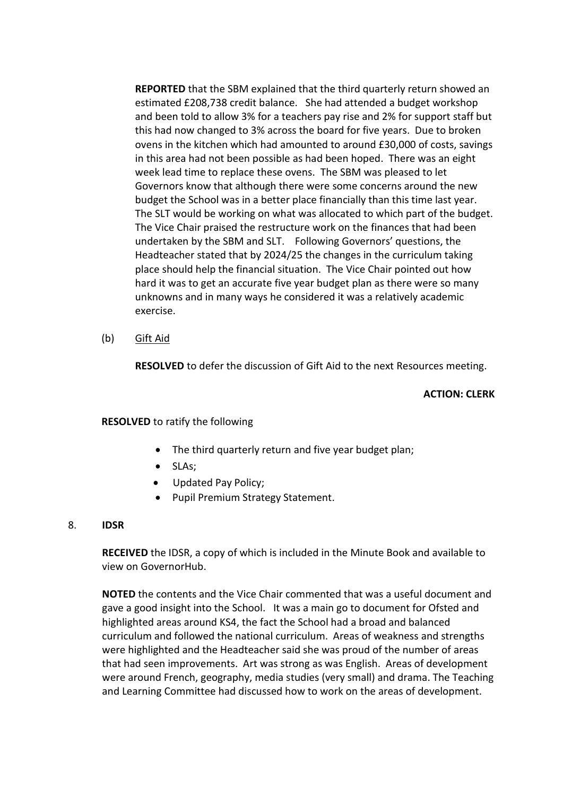**REPORTED** that the SBM explained that the third quarterly return showed an estimated £208,738 credit balance. She had attended a budget workshop and been told to allow 3% for a teachers pay rise and 2% for support staff but this had now changed to 3% across the board for five years. Due to broken ovens in the kitchen which had amounted to around £30,000 of costs, savings in this area had not been possible as had been hoped. There was an eight week lead time to replace these ovens. The SBM was pleased to let Governors know that although there were some concerns around the new budget the School was in a better place financially than this time last year. The SLT would be working on what was allocated to which part of the budget. The Vice Chair praised the restructure work on the finances that had been undertaken by the SBM and SLT. Following Governors' questions, the Headteacher stated that by 2024/25 the changes in the curriculum taking place should help the financial situation. The Vice Chair pointed out how hard it was to get an accurate five year budget plan as there were so many unknowns and in many ways he considered it was a relatively academic exercise.

(b) Gift Aid

**RESOLVED** to defer the discussion of Gift Aid to the next Resources meeting.

#### **ACTION: CLERK**

#### **RESOLVED** to ratify the following

- The third quarterly return and five year budget plan;
- SLAs;
- Updated Pay Policy;
- Pupil Premium Strategy Statement.

#### 8. **IDSR**

**RECEIVED** the IDSR, a copy of which is included in the Minute Book and available to view on GovernorHub.

**NOTED** the contents and the Vice Chair commented that was a useful document and gave a good insight into the School. It was a main go to document for Ofsted and highlighted areas around KS4, the fact the School had a broad and balanced curriculum and followed the national curriculum. Areas of weakness and strengths were highlighted and the Headteacher said she was proud of the number of areas that had seen improvements. Art was strong as was English. Areas of development were around French, geography, media studies (very small) and drama. The Teaching and Learning Committee had discussed how to work on the areas of development.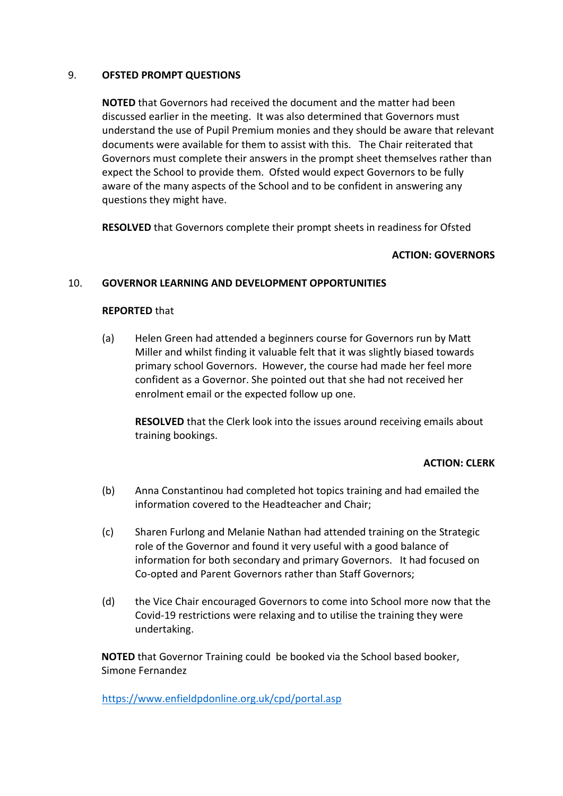#### 9. **OFSTED PROMPT QUESTIONS**

**NOTED** that Governors had received the document and the matter had been discussed earlier in the meeting. It was also determined that Governors must understand the use of Pupil Premium monies and they should be aware that relevant documents were available for them to assist with this. The Chair reiterated that Governors must complete their answers in the prompt sheet themselves rather than expect the School to provide them. Ofsted would expect Governors to be fully aware of the many aspects of the School and to be confident in answering any questions they might have.

**RESOLVED** that Governors complete their prompt sheets in readiness for Ofsted

### **ACTION: GOVERNORS**

### 10. **GOVERNOR LEARNING AND DEVELOPMENT OPPORTUNITIES**

#### **REPORTED** that

(a) Helen Green had attended a beginners course for Governors run by Matt Miller and whilst finding it valuable felt that it was slightly biased towards primary school Governors. However, the course had made her feel more confident as a Governor. She pointed out that she had not received her enrolment email or the expected follow up one.

**RESOLVED** that the Clerk look into the issues around receiving emails about training bookings.

#### **ACTION: CLERK**

- (b) Anna Constantinou had completed hot topics training and had emailed the information covered to the Headteacher and Chair;
- (c) Sharen Furlong and Melanie Nathan had attended training on the Strategic role of the Governor and found it very useful with a good balance of information for both secondary and primary Governors. It had focused on Co-opted and Parent Governors rather than Staff Governors;
- (d) the Vice Chair encouraged Governors to come into School more now that the Covid-19 restrictions were relaxing and to utilise the training they were undertaking.

**NOTED** that Governor Training could be booked via the School based booker, Simone Fernandez

<https://www.enfieldpdonline.org.uk/cpd/portal.asp>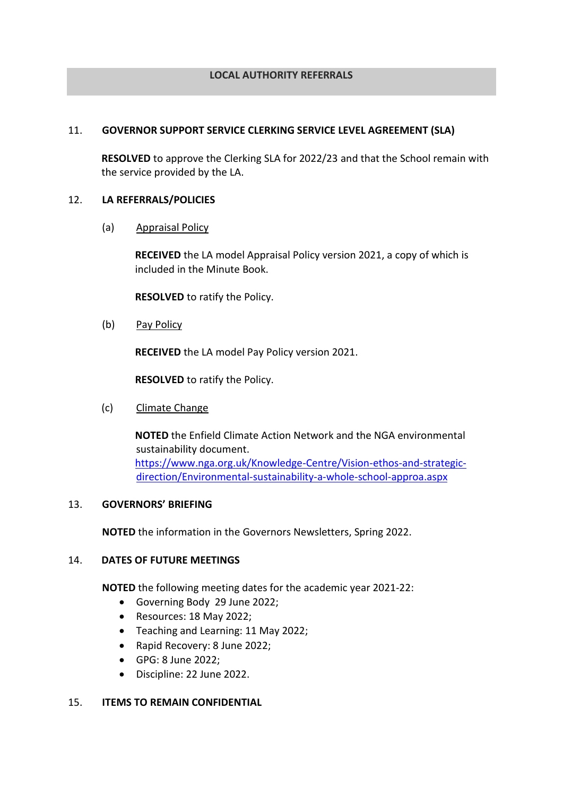#### **LOCAL AUTHORITY REFERRALS**

#### 11. **GOVERNOR SUPPORT SERVICE CLERKING SERVICE LEVEL AGREEMENT (SLA)**

**RESOLVED** to approve the Clerking SLA for 2022/23 and that the School remain with the service provided by the LA.

#### 12. **LA REFERRALS/POLICIES**

(a) Appraisal Policy

**RECEIVED** the LA model Appraisal Policy version 2021, a copy of which is included in the Minute Book.

**RESOLVED** to ratify the Policy.

(b) Pay Policy

**RECEIVED** the LA model Pay Policy version 2021.

**RESOLVED** to ratify the Policy.

#### (c) Climate Change

**NOTED** the Enfield Climate Action Network and the NGA environmental sustainability document. [https://www.nga.org.uk/Knowledge-Centre/Vision-ethos-and-strategic](https://www.nga.org.uk/Knowledge-Centre/Vision-ethos-and-strategic-direction/Environmental-sustainability-a-whole-school-approa.aspx)[direction/Environmental-sustainability-a-whole-school-approa.aspx](https://www.nga.org.uk/Knowledge-Centre/Vision-ethos-and-strategic-direction/Environmental-sustainability-a-whole-school-approa.aspx)

#### 13. **GOVERNORS' BRIEFING**

**NOTED** the information in the Governors Newsletters, Spring 2022.

#### 14. **DATES OF FUTURE MEETINGS**

**NOTED** the following meeting dates for the academic year 2021-22:

- Governing Body 29 June 2022;
- Resources: 18 May 2022;
- Teaching and Learning: 11 May 2022;
- Rapid Recovery: 8 June 2022;
- GPG: 8 June 2022;
- Discipline: 22 June 2022.

#### 15. **ITEMS TO REMAIN CONFIDENTIAL**